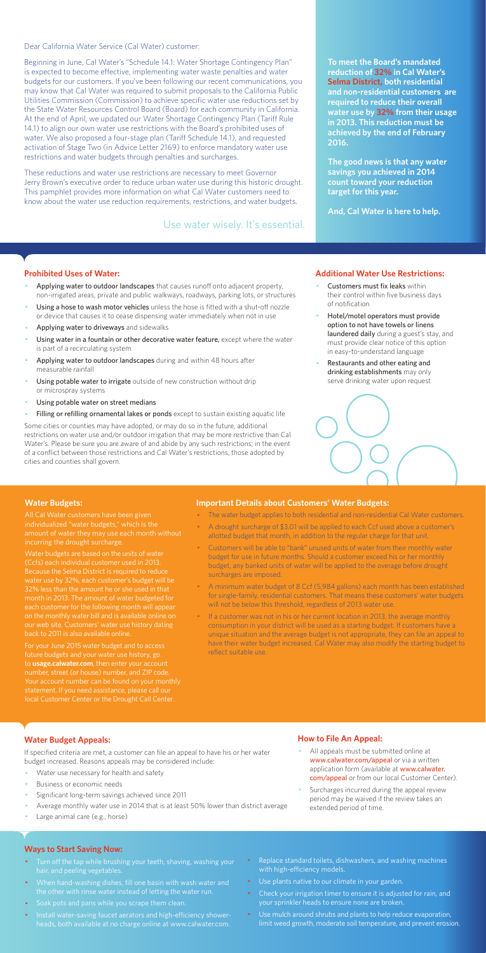Dear California Water Service (Cal Water) customer:

Beginning in June, Cal Water's "Schedule 14.1: Water Shortage Contingency Plan" is expected to become effective, implementing water waste penalties and water budgets for our customers. If you've been following our recent communications, you may know that Cal Water was required to submit proposals to the California Public Utilities Commission (Commission) to achieve specific water use reductions set by the State Water Resources Control Board (Board) for each community in California. At the end of April, we updated our Water Shortage Contingency Plan (Tariff Rule 14.1) to align our own water use restrictions with the Board's prohibited uses of water. We also proposed a four-stage plan (Tariff Schedule 14.1), and requested activation of Stage Two (in Advice Letter 2169) to enforce mandatory water use restrictions and water budgets through penalties and surcharges.

These reductions and water use restrictions are necessary to meet Governor Jerry Brown's executive order to reduce urban water use during this historic drought. This pamphlet provides more information on what Cal Water customers need to know about the water use reduction requirements, restrictions, and water budgets.

#### **Prohibited Uses of Water:**

- Applying water to outdoor landscapes that causes runoff onto adjacent property, non-irrigated areas, private and public walkways, roadways, parking lots, or structures
- Using a hose to wash motor vehicles unless the hose is fitted with a shut-off nozzle or device that causes it to cease dispensing water immediately when not in use
- Applying water to driveways and sidewalks
- Using water in a fountain or other decorative water feature, except where the water is part of a recirculating system
- Applying water to outdoor landscapes during and within 48 hours after measurable rainfall
- Using potable water to irrigate outside of new construction without drip or microspray systems
- Using potable water on street medians
- Filling or refilling ornamental lakes or ponds except to sustain existing aquatic life
- Customers must fix leaks within their control within five business days of notification
- Hotel/motel operators must provide option to not have towels or linens laundered daily during a guest's stay, and must provide clear notice of this option in easy-to-understand language
- Restaurants and other eating and drinking establishments may only serve drinking water upon request



- All appeals must be submitted online at www.calwater.com/appeal or via a written application form (available at www.calwater. com/appeal or from our local Customer Center).
- · Surcharges incurred during the appeal review period may be waived if the review takes an extended period of time.

Some cities or counties may have adopted, or may do so in the future, additional restrictions on water use and/or outdoor irrigation that may be more restrictive than Cal Water's. Please be sure you are aware of and abide by any such restrictions; in the event of a conflict between those restrictions and Cal Water's restrictions, those adopted by cities and counties shall govern.

- Turn off the tap while brushing your teeth, shaving, washing your hair, and peeling vegetables.
- · When hand-washing dishes, fill one basin with wash water and the other with rinse water instead of letting the water run.
- · Soak pots and pans while you scrape them clean.
- · Install water-saving faucet aerators and high-efficiency showerheads, both available at no charge online at www.calwater.com.
- Replace standard toilets, dishwashers, and washing machines with high-efficiency models.
- · Use plants native to our climate in your garden.
- Check your irrigation timer to ensure it is adjusted for rain, and your sprinkler heads to ensure none are broken.
- · Use mulch around shrubs and plants to help reduce evaporation, limit weed growth, moderate soil temperature, and prevent erosion.

**To meet the Board's mandated reduction of 32% in Cal Water's Selma District, both residential and non-residential customers are required to reduce their overall water use by 32% from their usage in 2013. This reduction must be achieved by the end of February 2016.** 

**The good news is that any water savings you achieved in 2014 count toward your reduction target for this year.** 

**And, Cal Water is here to help.** 

#### **Additional Water Use Restrictions:**

## **Water Budget Appeals:**

If specified criteria are met, a customer can file an appeal to have his or her water budget increased. Reasons appeals may be considered include:

- Water use necessary for health and safety
- Business or economic needs
- Significant long-term savings achieved since 2011
- Average monthly water use in 2014 that is at least 50% lower than district average
- Large animal care (e.g., horse)

If a customer was not in his or her current location in 2013, the average monthly consumption in your district will be used as a starting budget. If customers have a unique situation and the average budget is not appropriate, they can file an appeal to have their water budget increased. Cal Water may also modify the starting budget to reflect suitable use.

## **How to File An Appeal:**

#### **Ways to Start Saving Now:**

Use water wisely. It's essential.

#### **Water Budgets:**

individualized "water budgets," which is the incurring the drought surcharge.

Water budgets are based on the units of water (Ccfs) each individual customer used in 2013. water use by 32%, each customer's budget will be month in 2013. The amount of water budgeted for each customer for the following month will appea on the monthly water bill and is available online on

For your June 2015 water budget and to access future budgets and your water use history, go to **usage.calwater.com**, then enter your account number, street (or house) number, and ZIP code. local Customer Center or the Drought Call Center.

#### **Important Details about Customers' Water Budgets:**

- · The water budget applies to both residential and non-residential Cal Water customers.
- · A drought surcharge of \$3.01 will be applied to each Ccf used above a customer's allotted budget that month, in addition to the regular charge for that unit.
- · Customers will be able to "bank" unused units of water from their monthly water budget for use in future months. Should a customer exceed his or her monthly budget, any banked units of water will be applied to the overage before drought surcharges are imposed.
- · A minimum water budget of 8 Ccf (5,984 gallons) each month has been established for single-family, residential customers. That means these customers' water budgets will not be below this threshold, regardless of 2013 water use.